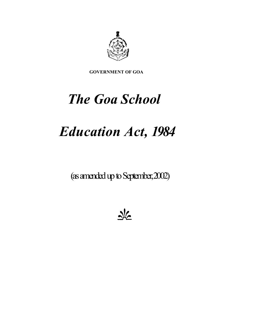

 **GOVERNMENT OF GOA** 

# *The Goa School*

## *Education Act, 1984*

(as amended up to September, 2002)

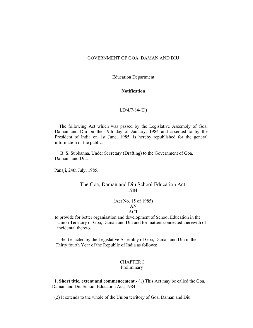#### GOVERNMENT OF GOA, DAMAN AND DIU

Education Department

#### **Notification**

#### LD/4/7/84-(D)

 Daman and Diu on the 19th day of January, 1984 and assented to by the The following Act which was passed by the Legislative Assembly of Goa, President of India on 1st June, 1985, is hereby republished for the general information of the public.

B. S. Subbanna, Under Secretary (Drafting) to the Government of Goa, Daman and Diu.

Panaji, 24th July, 1985.

#### The Goa, Daman and Diu School Education Act, 1984

#### $AN$ (Act No. 15 of 1985) **ACT**

to provide for better organisation and development of School Education in the Union Territory of Goa, Daman and Diu and for matters connected therewith of incidental thereto.

Thirty fourth Year of the Republic of India as follows:<br>CHAPTER I Be it enacted by the Legislative Assembly of Goa, Daman and Diu in the

## Preliminary

 1. **Short title, extent and commencement.-** (1) This Act may be called the Goa, Daman and Diu School Education Act, 1984.

(2) It extends to the whole of the Union territory of Goa, Daman and Diu.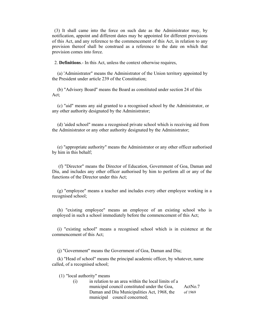(3) It shall came into the force on such date as the Administrator may, by notification, appoint and different dates may be appointed for different provisions of this Act, and any reference to the commencement of this Act, in relation to any provision thereof shall be construed as a reference to the date on which that provision comes into force.

2. **Definitions**.- In this Act, unless the context otherwise requires,

(a) 'Administrator" means the Administrator of the Union territory appointed by the President under article 239 of the Constitution;

(b) "Advisory Board" means the Board as constituted under section 24 of this Act;

 (c) "aid" means any aid granted to a recognised school by the Administrator, or any other authority designated by the Administrator;

(d) 'aided school" means a recognised private school which is receiving aid from the Administrator or any other authority designated by the Administrator;

(e) "appropriate authority" means the Administrator or any other officer authorised by him in this behalf;

(f) "Director" means the Director of Education, Government of Goa, Daman and Diu, and includes any other officer authorised by him to perform all or any of the functions of the Director under this Act;

(g) "employee" means a teacher and includes every other employee working in a recognised school;

(h) "existing employee" means an employee of an existing school who is employed in such a school immediately before the commencement of this Act;

(i) "existing school" means a recognised school which is in existence at the commencement of this Act;

(j) "Government" means the Government of Goa, Daman and Diu;

(k) "Head of school" means the principal academic officer, by whatever, name called, of a recognised school;

(1) "local authority" means

 municipal council concerned; (i) in relation to an area within the local limits of a municipal council constituted under the Goa, ActNo.7 Daman and Diu Municipalities Act, 1968, the of 1969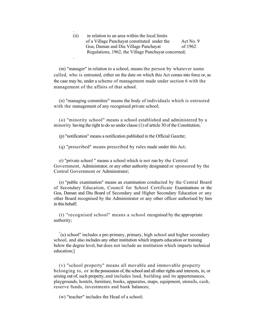Regulations, 1962, the Village Panchayat concerned; . (ii) in relation to an area within the local limits of a Village Panchayat constituted under the Act No. 9 Goa, Daman and Diu Village Panchayat of 1962

.

 (m) "manager" in relation to a school, means the person by whatever name called, who is entrusted, either on the date on which this Act comes into force or, as the case may be, under a scheme of management made under section 6 with the management of the affairs of that school.

 (n) "managing committee" means the body of individuals which is entrusted with the management of any recognised private school;

 (o) "minority school" means a school established and administered by a minority having the right to do so under clause (1) of article 30 of the Constitution;

(p) "notification" means a notification published in the Official Gazette;

(q) "prescribed" means prescribed by rules made under this Act;

 (r) "private school " means a school which is not run by the Central Government, Administrator, or any other authority designated or sponsored by the Central Government or Administrator;

 of Secondary Education, Council for School Certificate Examinations or the Goa, Daman and Diu Board of Secondary and Higher Secondary Education or any other Board recognised by the Administrator or any other officer authorised by him (s) "public examination" means an examination conducted by the Central Board in this behalf;

 (t) "recognised school" means a school recognised by the appropriate authority;

 school, and also includes any other institution which imparts education or training below the degree level, but does not include an institution which imparts technical " (u) school" includes a pre-primary, primary, high school and higher secondary education;]

 (v) "school property" means all movable and immovable property belonging to, or in the possession of, the school and all other rights and interests, in, or arising out of, such property, and includes land, building and its appurtenances, playgrounds, hostels, furniture, books, apparatus, maps, equipment, utensils, cash, reserve funds, investments and bank balances;

(w) "teacher" includes the Head of a school;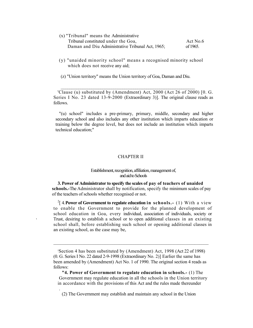- (x) "Tribunal" means the Administrative Tribunal constituted under the Goa, Act No.6 Daman and Diu Administrative Tribunal Act, 1965; of 1965.
- (y) "unaided minority school" means a recognised minority school which does not receive any aid;
- (z) "Union territory" means the Union territory of Goa, Daman and Diu.

\_\_\_\_\_\_\_\_\_\_\_\_\_\_\_\_\_\_\_\_\_\_\_\_\_\_\_\_\_\_\_\_\_\_\_\_\_\_\_\_\_\_\_\_\_\_\_\_\_\_\_\_\_\_\_\_\_\_\_\_\_

 Series I No. 23 dated 13-9-2000 (Extraordinary 3)]. The original clause reads as 'Clause (u) substituted by (Amendment) Act, 2000 (Act 26 of 2000) [0. G. follows.

 "(u) school" includes a pre-primary, primary, middle, secondary and higher secondary school and also includes any other institution which imparts education or training below the degree level, but does not include an institution which imparts technical education;"

#### CHAPTER II

#### Establishment, recognition, affiliation, management of, and aid to Schools

 **3. Power of Administrator to specify the scales of pay of teachers of unaided schools.-**The Administrator shall by notification, specify the minimum scales of pay of the teachers of schools whether recognised or not.

 to enable the Government to provide for the planned development of school education in Goa, every individual, association of individuals, society or school shall, before establishing such school or opening additional classes in 2[ 4.**Power of Government to regulate education in schools.-** (1) With a view Trust, desiring to establish a school or to open additional classes in an existing an existing school, as the case may be,

 $\mathcal{L}_\text{max}$  and  $\mathcal{L}_\text{max}$  and  $\mathcal{L}_\text{max}$  and  $\mathcal{L}_\text{max}$  and  $\mathcal{L}_\text{max}$ 

.

 2 Section 4 has been substituted by (Amendment) Act, 1998 (Act 22 of 1998) 2)] Earlier the same has of 1990. The original section 4 reads as (0. G. Series I No. 22 dated 2-9-1998 (Extraordinary No. 2)] Earlier the same hasbeen amended by (Amendment) Act No. 1 of 1990. The original section 4 reads asfollows:

 **"4. Power of Government to regulate education in schools.-** (1) The Government may regulate education in all the schools in the Union territory in accordance with the provisions of this Act and the rules made thereunder

 (2) The Government may establish and maintain any school in the Union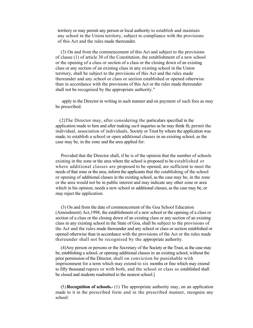territory or may permit any person or local authority to establish and maintain of this Act and the rules made thereunder. any school in the Union territory, subject to compliance with the provisions

 (3) On and from the commencement of this Act and subject to the provisions or the opening of a class or section of a class or the closing down of an existing class or any section of an existing class in any existing school in the Union than in accordance with the provisions of this Act or the rules made thereunder shall not be recognised by the appropriate authority." of clause (1) of article 30 of the Constitution, the establishment of a new school territory, shall be subject to the provisions of this Act and the rules made thereunder and any school or class or section established or opened otherwise

 apply to the Director in writing in such manner and on payment of such fees as may be prescribed.

 application made to him and after making *such* inquiries as he may think fit, permit the made, to establish a school or open additional classes in an existing school, as the case may be, in the zone and the area applied for: (2)The Director may, after considering the particulars specified in the individual, association of individuals, Society or Trust by whom the application was

 Provided that the Director shall, if he is of the opinion that the number of schools existing in the zone or the area where the school is proposed to be established or where additional classes are proposed to be opened, are sufficient to meet the needs of that zone or the area, inform the applicants that the establishing of the school or opening of additional classes in the existing school, as the case may be, in the zone or the area would not be in public interest and may indicate any other zone or area which in his opinion, needs a new school or additional classes, as the case may be, or may reject the application.

 (3) On and from the date of commencement of the Goa School Education (Amendment) Act,1998, the establishment of a new school or the opening of a class or section of a class or the closing down of an existing class or any section of an existing class in any existing school in the State of Goa, shall be subject to the provisions of the Act and the rules made thereunder and any school or class or section established or opened otherwise than in accordance with the provisions of the Act or the rules made thereunder shall not be recognised by the appropriate authority.

 (4)Any person or persons or the Secretary of the Society or the Trust, as the case may prior permission of the Director, shall on conviction be punishable with imprisonment for a term which may extend to six months or fine which may extend to fifty thousand rupees or with both, and the school or class so established shall be closed and students readmitted to the nearest school.] be, establishing a school, or opening additional classes in an existing school, without the

 made to it in the prescribed form and in the prescribed manner, recognize any (5.) **Recognition of schools.-** (1) The appropriate authority may, on an application school: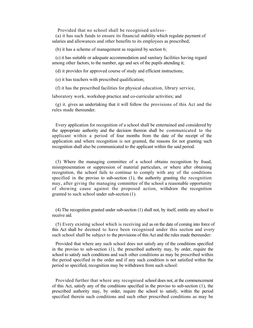Provided that no school shall be recognised unless-

 salaries and allowances and other benefits to its employees as prescribed; (a) it has such funds to ensure its financial stability which regulate payment of

(b) it has a scheme of management as required by section 6;

 among other factors, to the number, age and sex of the pupils attending it; (c) it has suitable or adequate accommodation and sanitary facilities having regard

(d) it provides for approved course of study and efficient instructions;

(e) it has teachers with prescribed qualification;

(f) it has the prescribed facilities for physical education, library service,

laboratory work, workshop practice and co-curricular activities; and

 (g) it. gives an undertaking that it will follow the provisions of this Act and the rules made thereunder.

 the appropriate authority and the decision thereon shall be communicated to the applicant within a period of four months from the date of the receipt of the application and where recognition is not granted, the reasons for not granting such recognition shall also be communicated to the applicant within the said period. Every application for recognition of a school shall be entertained and considered by

 (3) Where the managing committee of a school obtains recognition by fraud, recognition, the school fails to continue to comply with any of the conditions specified in the proviso to sub-section (1), the authority granting the recognition granted to such school under sub-section (1). misrepresentation or suppression of material particulars, or where after obtaining may, after giving the managing committee of the school a reasonable opportunity of showing cause against the proposed action, withdraw the recognition

(4) The recognition granted under sub-section (1) shall not, by itself, entitle any school to receive aid.

 this Act shall be deemed to have been recognised under this section and every such school shall be subject to the provisions of this Act and the rules made thereunder: (5) Every existing school which is receiving aid as on the date of coming into force of

 Provided that where any such school does not satisfy any of the conditions specified in the proviso to sub-section (1), the prescribed authority may, by order, require the the period specified in the order and if any such condition is not satisfied within the school to satisfy such conditions and such other conditions as may be prescribed within period so specified, recognition may be withdrawn from such school:

 Provided further that where any recognised school does not, at the commencement of this Act, satisfy any of the conditions specified in the proviso to sub-section (1), the prescribed authority may, by order, require the school to satisfy, within the period specified therein such conditions and such other prescribed conditions as may be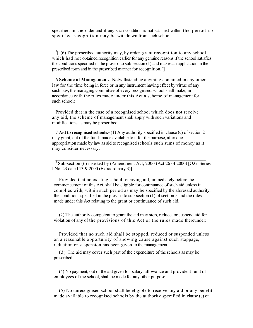specified in the order and if any such condition is not satisfied within the period so specified recognition may be withdrawn from such school.

 $3$ ["(6) The prescribed authority may, by order grant recognition to any school which had not obtained recognition earlier for any genuine reasons if the school satisfies the conditions specified in the proviso to sub-section (1) and makes an application in the prescribed form and in the prescribed manner for recognition."]

 6.**Scheme of Management.-** Notwithstanding anything contained in any other law for the time being in force or in any instrument having effect by virtue of any such law, the managing committee of every recognised school shall make, in accordance with the rules made under this Act a scheme of management for such school:

 Provided that in the case of a recognised school which does not receive any aid, the scheme of management shall apply with such variations and modifications as may be prescribed.

 appropriation made by law as aid to recognised schools such sums of money as it 7.**Aid to recognised schools.-** (1) Any authority specified in clause (c) of section 2 may grant, out of the funds made available to it for the purpose, after due may consider necessary:

 $3$  Sub-section (6) inserted by (Amendment Act, 2000 (Act 26 of 2000) [O.G. Series I No. 23 dated 13-9-2000 (Extraordinary 3)]

 $\overline{\phantom{a}}$  , and the contribution of the contribution of the contribution of the contribution of the contribution of the contribution of the contribution of the contribution of the contribution of the contribution of the

 Provided that no existing school receiving aid, immediately before the commencement of this Act, shall be eligible for continuance of such aid unless it complies with, within such period as may be specified by the aforesaid authority, made under this Act relating to the grant or continuance of such aid. the conditions specified in the proviso to sub-section (1) of section 5 and the rules

 violation of any of the provisions of this Act or the rules made thereunder: (2) The authority competent to grant the aid may stop, reduce, or suspend aid for

on a reasonable opportunity of showing cause against such stoppage,<br>reduction or suspension has been given to the management.<br>(3) The aid may cover such part of the expenditure of the schools as may be suspension has been given to the management. Provided that no such aid shall be stopped, reduced or suspended unless

(3) The aid may cover such part of the expenditure of the schools as may be prescribed.

 (4) No payment, out of the aid given for salary, allowance and provident fund of employees of the school, shall be made for any other purpose.

 made available to recognised schools by the authority specified in clause (c) of (5) No unrecognised school shall be eligible to receive any aid or any benefit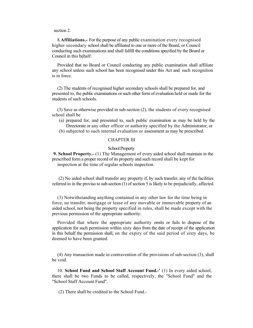section 2.

 8.**Affiliations.-** For the purpose of any public examination every recognised higher secondary school shall be affiliated to one or more of the Board, or Council conducting such examinations and shall fulfill the conditions specified by the Board or Council in this behalf:

 Provided that no Board or Council conducting any public examination shall affiliate any school unless such school has been recognised under this Act and. such recognition is in force.

 (2) The students of recognised higher secondary schools shall be prepared for, and presented to, the public examinations or such other form of evaluation held or made for the students of such schools.

 (3) Save as otherwise provided in sub-section (2), the students of every recognised school shall be

- (a) prepared for, and presented to, such public examination as may be held by the Directorate or any other officer or authority specified by the Administrator, or
- (b) subjected to such internal evaluation or assessment as may be prescribed.

#### CHAPTER III

#### School Property

 **9. School Property.-** (1) The Management of every aided school shall maintain in the prescribed form a proper record of its property and such record shall be kept for inspection at the time of regular schools inspection.

 (2) No aided school shall transfer any property if, by such transfer, any of the facilities referred to in the proviso to sub-section (1) of section 5 is likely to be prejudicially, affected.

 force, no transfer, mortgage or lease of any movable or immovable property of an aided school, not being the property specified in rules, shall be made except with the (3) Notwithstanding anything contained in any other law for the time being in previous permission of the appropriate authority:

 Provided that where the appropriate authority omits or fails to dispose of the application for such permission within sixty days from the date of receipt of the application in this behalf the permission shall, on the expiry of the said period of sixty days, be deemed to have been granted.

(4) Any transaction made in contravention of the provisions of sub-section (3), shall be void.

10. **School Fund and School Staff Account Fund.-'** (1) In every aided school, there shall be two Funds to be called, respectively, the "School Fund" and the "School Staff Account Fund".

(2) There shall be credited to the School Fund.-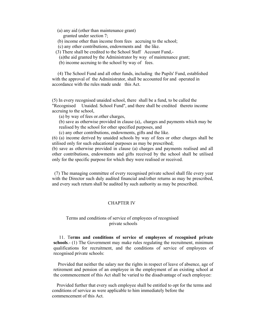- (a) any aid (other than maintenance grant) granted under section 7;
- (b) income other than income from fees accruing to the school;
- (c) any other contributions, endowments and the like.
- (3) There shall be credited to the School Staff Account Fund,-
- (a)the aid granted by the Administrator by way of maintenance grant;
- (b) income accruing to the school by way of fees.

(4) The School Fund and all other funds, including the Pupils' Fund, established with the approval of the Administrator, shall be accounted for and operated in accordance with the rules made unde this Act.

(5) In every recognised unaided school, there shall be a fund, to be called the "Recognised Unaided. School Fund", and there shall be credited thereto income accruing to the school,

(a) by way of fees or.other charges,

(b) save as otherwise provided in clause (a),. charges and payments which may be realised by the school for other specified purposes, and

(c) any other contributions, endowments, gifts and the like.

(6) (a) income derived by unaided schools by way of fees or other charges shall be utilised only for such educational purposes as may be prescribed;

(b) save as otherwise provided in clause (a) charges and payments realised and all other contributions, endowments and gifts received by the school shall be utilised only for the specific purpose for which they were realised or received.

(7) The managing committee of every recognised private school shall file every year with the Director such duly audited financial and/other returns as may be prescribed, and every such return shall be audited by such authority as may be prescribed.

### CHAPTER IV

#### Terms and conditions of service of employees of recognised private schools

11. T**erms and conditions of service of employees of recognised private schools**.- (1) The Government may make rules regulating the recruitment, minimum qualifications for recruitment, and the conditions of service of employees of recognised private schools:

 Provided that neither the salary nor the rights in respect of leave of absence, age of retirement and pension of an employee in the employment of an existing school at the commencement of this Act shall be varied to the disadvantage of such employee:

 Provided further that every such employee shall be entitled to opt for the terms and conditions of service as were applicable to him immediately before the commencement of this Act.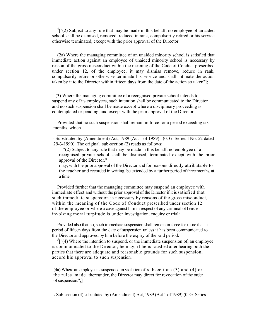$\binom{4}{1}$  (2) Subject to any rule that may be made in this behalf, no employee of an aided school shall be dismised, removed, reduced in rank, compulsorily retired or his service otherwise terminated, except with the prior approval of the Director.

(2a) Where the managing committee of an unaided minority school is satisfied that immediate action against an employee of unaided minority school is necessary by reason of the gross misconduct within the meaning of the Code of Conduct prescribed under section 12, of the employee, it may dismiss remove, reduce in rank, compulsorily retire or otherwise terminate his service and shall intimate the action taken by it to the Director within fifteen days from the date of the action so taken"];

(3) Where the managing committee of a recognised private school intends to suspend any of its employees, such intention shall be communicated to the Director and no such suspension shall be made except where a disciplinary proceeding is contemplated or pending, and except with the prior approval of the Director:

Provided that no such suspension shall remain in force for a period exceeding six months, which

 $\mathcal{L}_\text{max} = \frac{1}{2} \sum_{i=1}^n \mathcal{L}_\text{max}(\mathbf{z}_i - \mathbf{z}_i)$ 

 may, with the prior approval of the Director and for reasons directly attributable to the teacher and recorded in writing, be extended by a further period of three months, at a time:

 Provided further that the managing committee may suspend an employee with immediate effect and without the prior approval of the Director if it is satisfied that such immediate suspension is necessary by reasons of the gross misconduct, within the meaning of the Code of Conduct prescribed under section 12 of the employee or where a case against him in respect of any criminal offence involving moral turpitude is under investigation, enquiry or trial:

 the Director and approved by him before the expiry of the said period. Provided also that no, such immediate suspension shall remain in force for more than a period of fifteen days from the date of suspension unless it has been communicated to

 is communicated to the Director, he may, if he is satisfied after hearing both the parties that there are adequate and reasonable grounds for such suspension,  ${}^{5}$ ["(4) Where the intention to suspend, or the immediate suspension of, an employee accord his approval to such suspension.

 (4a) Where an employee is suspended in violation of subsections (3) and (4) or the rules made .thereunder, the Director may direct for revocation of the order of suspension.";]

5 Sub-section (4) substituted by (Amendment) Act, 1989 (Act 1 of 1989) (0. G. Series

<sup>4</sup> Substituted by (Amendment) Act, 1989 (Act 1 of 1989) (0. G. Series I No. 52 dated 29-3-1990). The original sub-section (2) reads as follows:

<sup>&</sup>quot;(2) Subject to any rule that may be made in this behalf, no employee of a recognised private school shall be dismised, terminated except with the prior approval of the Director."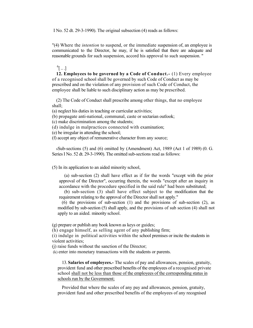I No. 52 dt. 29-3-1990). The original subsection (4) reads as follows:

 "(4) Where the *intention* to suspend, or the immediate suspension of, an employee is communicated to the Director, he may, if he is satisfied that there are adequate and reasonable grounds for such suspension, accord his approval to such suspension. "

### $^{6}$ [...]<sup> $^{6}$ </sup>

 of a recognised school shall be governed by such Code of Conduct as may be prescribed and on the violation of any provision of such Code of Conduct, the **12. Employees to be governed by a Code of Conduct.-** (1) Every employee employee shall be liable to such disciplinary action as may be prescribed.

 (2) The Code of Conduct shall prescribe among other things, that no employee shall;

(a) neglect his duties in teaching or curricular activities;

(b) propagate anti-national, communal, caste or sectarian outlook;

(c) make discrimination among the students;

(d) indulge in malpractices connected with examination;

(e) be irregular in attending the school;

(f) accept any object of remunerative character from any source;

 6Sub-sections (5) and (6) omitted by (Amendment) Act, 1989 (Act 1 of 1989) (0. G. Series I No. 52 dt. 29-3-1990). The omitted sub-sections read as follows:

(5) In its application to an aided minority school,

 (a) sub-section (2) shall have effect as if for the words "except with the prior accordance with the procedure specified in the said rule" had been substituted; approval of the Director", occurring therein, the words "except after an inquiry in

 (b) sub-section (3) shall have effect subject to the modification that the requirement relating to the approval of the Director shall not apply."

 (6) the provisions of sub-section (1) and the provisions of sub-section (2), as modified by sub-section (5) shall apply, and the provisions of sub section (4) shall not apply to an aided. minority school.

(g) prepare or publish any book known as keys or guides;

(h) engage himself, as selling agent of any publishing firm;

 (i) indulge in political activities within the school premises or incite the students in violent activities;

(j) raise funds without the sanction of the Director;

(k) enter into monetary transactions with the students or parents.

 provident fund and other prescribed benefits of the employees of a recognised private school shall not be less than those of the employees of the corresponding status in 13. **Salaries of employees.-** The scales of pay and allowances, pension, gratuity, schools run by the Government;

 Provided that where the scales of any pay and allowances, pension, gratuity, provident fund and other prescribed benefits of the employees of any recognised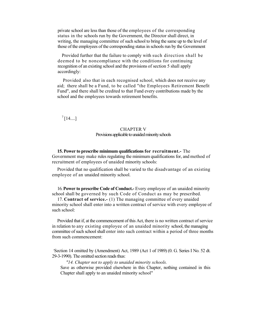private school are less than those of the employees of the corresponding writing, the managing committee of such school to bring the same up to the level of status in the schools run by the Government, the Director shall direct, in those of the employees of the corresponding status in schools run by the Government

 Provided further that the failure to comply with such direction shall be recognition of an existing school and the provisions of section 5 shall apply deemed to be noncompliance with the conditions for continuing accordingly:

 Provided. also that in each recognised school, which does not receive any aid; there shall be a Fund, to be called "the Employees Retirement Benefit Fund", and there shall be credited to that Fund every contributions made by the school and the employees towards retirement benefits.

 $^{7}$ [14....]

#### CHAPTER V Provisions applicable to unaided minority schools

 Government may make rules regulating the minimum qualifications for, and method of **15. Power to prescribe minimum qualifications for recruitment.-** The recruitment of employees of unaided minority schools:

 Provided that no qualification shall be varied to the disadvantage of an existing employee of an unaided minority school.

 school shall be governed by such Code of Conduct as may be prescribed. 16. **Power to prescribe Code of Conduct.-** Every employee of an unaided minority

 minority school shall enter into a written contract of service with every employee of 17. **Contract of service.-** (1) The managing committee of every unaided such school:

 Provided that if, at the commencement of this Act, there is no written contract of service in relation to any existing employee of an unaided minority school, the managing committee of such school shall enter into such contract within a period of three months from such commencement:

 7 Section 14 omitted by (Amendment) Act, 1989 (Act 1 of 1989) (0. G. Series I No. 52 dt. 29-3-1990). The omitted section reads thus:

*"14. Chapter not to apply to unaided minority schools.* 

 Save as otherwise provided elsewhere in this Chapter, nothing contained in this Chapter shall apply to an unaided minority school"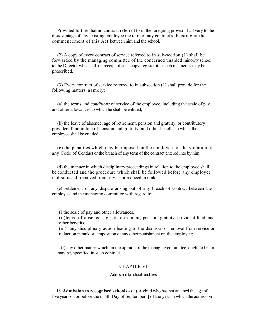Provided further that no contract referred to in the foregoing proviso shall vary to the disadvantage of any existing employee the term of any contract subsisting at the commencement of this Act between him and the school.

 (2) A copy of every contract of service referred to in sub-section (1) shall be forwarded by the managing committee of the concerned unaided minority school to the Director who shall, on receipt of such copy, register it in such manner as may be prescribed.

 (3) Every contract of service referred to in subsection (1) shall provide for the following matters, namely:

(a) the terms and *conditions* of service of the employee, including the scale of pay and other allowances to which he shall be entitled;

 (b) the leave of absence, age of retirement, pension and gratuity, or contributory provident fund in lieu of pension and gratuity, and other benefits to which the employee shall be entitled;

 any Code of Conduct or the breach of any term of the contract entered into by him; (c) the penalties which may be imposed on the employee for the violation of

 be conducted and the procedure which shall be followed before any employee is dismissed, removed from service or reduced in rank; (d) the manner in which disciplinary proceedings in relation to the employee shall

 (e) settlement of any dispute arising out of any breach of contract between the employee and the managing committee with regard to:

(i) the scale of pay and other allowances.

(i)the scale of pay and other allowances,<br>(ii)leave of absence, age of retirement, pension, gratuity, provident fund, and<br>other benefits,

 (iii) any disciplinary action leading to the dismissal or removal from service or reduction in rank or imposition of any other punishment on the employee;

 may be, specified in such contract. (f) any other matter which, in the opinion of the managing committee, ought to be, or

#### CHAPTER VI

#### Admission to schools and fees

five years on or before the  $\frac{8}{15}$ th Day of September"] of the year in which the admission 18. **Admission to recognised schools.-** (1) **A** child who has not attained the age of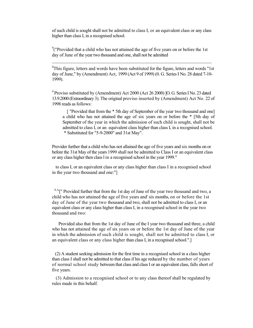of such child is sought shall not be admitted to class I, or an equivalent class or any class higher than class I, in a recognised school.

<sup>9</sup>("Provided that a child who has not attained the age of five years on or before the 1st day of June of the year two thousand and one, shall not be admitted

 ${}^{8}$ This figure, letters and words have been substituted for the figure, letters and words "1st day of June," by (Amendment) Act, 1999 (Act 9 of 1999) (0. G. Series I No. 28 dated 7-10- 1999).

 $\mathcal{L}_\text{max} = \frac{1}{2} \sum_{i=1}^n \mathcal{L}_\text{max} = \frac{1}{2} \sum_{i=1}^n \mathcal{L}_\text{max} = \frac{1}{2} \sum_{i=1}^n \mathcal{L}_\text{max} = \frac{1}{2} \sum_{i=1}^n \mathcal{L}_\text{max} = \frac{1}{2} \sum_{i=1}^n \mathcal{L}_\text{max} = \frac{1}{2} \sum_{i=1}^n \mathcal{L}_\text{max} = \frac{1}{2} \sum_{i=1}^n \mathcal{L}_\text{max} = \frac{1}{2} \sum_{i=$ 

<sup>9</sup> Proviso substituted by (Amendment) Act 2000 (Act 26 2000) ]O. G. Series I No. 23 dated 13.9.2000 (Extraordinary 3). The original proviso inserted by (Amendment) Act No. 22 of 1998 reads as follows:

 a child who has not attained the age of six years on or before the \* [5th day of admitted to class I, or an equivalent class higher than class I, in a recognised school. [ "Provided that from the \* 5th day of September of the year two thousand and one] September of the year in which the admission of such child is sought, shall not be \* Substituted for "5-9-2000" and 31st May".

 Provider further that a child who has not allained the age of five years and six months on or before the 31st May of the years 1999 shall not be admitted to Class I or an equivalent class or any class higher then class l in a recognised school in the year 1999."

 to class I, or an equivalent class or any class higher than class I in a recognised school in the year two thousand and one:"]

 $9.A$ <sup>["</sup> Provided further that from the 1st day of June of the year two thousand and two, a child who has not attained the age of five years and' six months, on or before the 1st day of June of the year two thousand and two, shall not be admitted to class I, or an equivalent class or any class higher than class I, in a recognised school in the year two thousand and two:

 who has not attained the age of six years on or before the 1st day of June of the year in which the admission of such child is sought, shall not be admitted to class I, or an equivalent class or any class higher than class I, in a recognised school.".] Provided also that from the 1st day of June of the I year two thousand and three, a child

 (2) A student seeking admission for the first time in a recognised school in a class higher than class I shall not be admitted to that class if his age reduced by the number of years of normal school study between that class and class I or an equivalent class, falls short of five years.

 (3) Admission to a recognised school or to any class thereof shall be regulated by rules made in this behalf.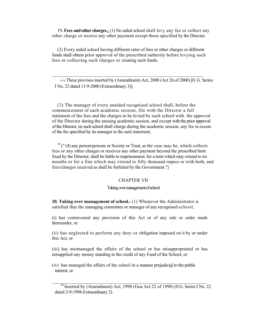19**. Fees and other charges.-** (1) No aided school shall levy any fee or collect any other charge or receive any other payment except those specified by the Director.

 (2) Every aided school having different rates of fees or other charges or different funds shall obtain prior approval of the prescribed authority before levying such fees or collecting such charges or creating such funds.

 $\mathcal{L}_\text{max}$  , and the contract of the contract of the contract of the contract of the contract of the contract of the contract of the contract of the contract of the contract of the contract of the contract of the contr

 9-A These provisos inserted by (Amendment) Act, 2000 (Act 26 of 2000) [0, G. Series I No. 23 dated 13-9-2000 (Extraordinary 3)].

 (3) The manager of every unaided recognised school shall, before the commencement of each academic session, file with the Director a full statement of the fees and the charges to be levied by such school with. the approval of the Director during the ensuing academic session, and except with the prior approval of the Director, no such school shall charge during the academic session, any fee in excess of the fee specified by its manager in the said statement.

 $10$  (" (4) any person/persons or Society or Trust, as the case may be, which collects fees or any other charges or receives any other payment beyond the prescribed limit months or for a fine which may extend to fifty thousand rupees or with both, and fees/charges received as shall be forfeited by the Government."] fixed by the Director, shall be liable to imprisonment. for a term which may extend to six

#### CHAPTER VII

#### Taking over management of school

 satisfied that the managing committee or manager of any recognised school, **20. Taking over management of school.-** (1) Whenever the Administrator is

(i) has contravened any provision of this Act or of any rule or order made thereunder, or

(ii) has neglected to perform any duty or obligation imposed on it by or under this Act, or

 misapplied any money standing to the credit of any Fund of the School, or (iii) has mismanaged the affairs of the school or has misappropriated or has

(iv) has managed the affairs of the school in a manner prejudicial to the public interest, or

 $\mathcal{L}_\text{max} = \frac{1}{2} \sum_{i=1}^n \mathcal{L}_\text{max} = \frac{1}{2} \sum_{i=1}^n \mathcal{L}_\text{max} = \frac{1}{2} \sum_{i=1}^n \mathcal{L}_\text{max} = \frac{1}{2} \sum_{i=1}^n \mathcal{L}_\text{max} = \frac{1}{2} \sum_{i=1}^n \mathcal{L}_\text{max} = \frac{1}{2} \sum_{i=1}^n \mathcal{L}_\text{max} = \frac{1}{2} \sum_{i=1}^n \mathcal{L}_\text{max} = \frac{1}{2} \sum_{i=$ 

 $^{10}$  Inserted by (Amendment) Act, 1998 (Goa Act 22 of 1998) (0 G. Series I No. 22 dated 2-9-1998-Extraordinary 2).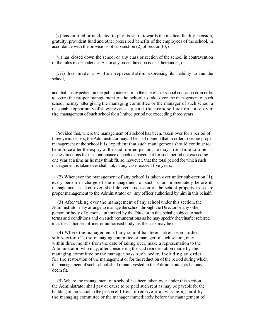accordance with the provisions of sub-section (2) of section 13, or (v) has omitted or neglected to pay its share towards the medical facility, pension, gratuity, provident fund and other prescribed benefits of the employees of the school, in

 (vi) has closed down the school or any class or section of the school in contravention of the rules made under this Act or any order, direction issued thereunder, or

 (vii) has made a written representation expressing its inability to run the school,

 and that it is expedient in the public interest or in the interests of school education or in order to secure the proper management of the school to take over the management of such school, he may, after giving the managing committee or the manager of such school a reasonable opportunity of showing cause against the proposed action, take over the management of such school for a limited period not exceeding three years:

 Provided that, where the management of a school has been. taken over for a period of three years or less, the Administrator may, if he is of opinion that in order to secure proper management of the school it is expedient that such management should continue to be in force after the expiry of the said limited period, he may, from time to time one year at a time as he may think fit, so, however, that the total period for which such management is taken over shall not, in any case, exceed five years. issue directions for the continuance of such management for such period not exceeding

 (2) Whenever the management of any school is taken over under sub-section (1), every person in charge of the management of such school immediately before its proper management to the Administrator or any officer authorised by him in this behalf. management is taken over, shall deliver possession of the school property to secure

 (3) After taking over the management of any school under this section, the Administrator may arrange to manage the school through the Director or any other person or body of persons authorised by the Director in this behalf, subject to such terms and conditions and on such remunerations as he may specify (hereinafter referred to as the authorised officer or authorised body, as the case may be).

 (4) Where the management of any school has been taken over under sub-section (1), the managing committee or manager of such school, may within three months from the date of taking over, make a representation to the Administrator, who may, after considering the said representation made by the managing committee or the manager pass such order, including an order for the restoration of the management or for the reduction of the period during which the management of such school shall remain vested in the Administrator, as he may deem fit.

 the Administrator shall pay or cause to be paid such rent as may be payable for the building of the school to the person entitled to receive it as was being paid by the managing committee or the manager immediately before the management of (5) Where the management of a school has been taken over under this section,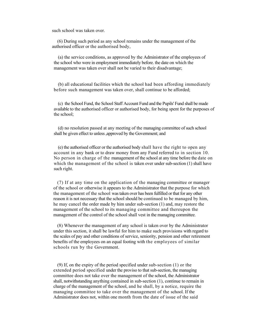such school was taken over.

(6) During such period as any school remains under the management of the authorised officer or the authorised body,

of the employees of school who were in employment immediately before, the date on which the (a) the service conditions, as approved by the Administrator of the employees ofthe school who were in employment immediately before. the date on which themanagement was taken over shall not be varied to their disadvantage;

 (b) all educational facilities which the school had been affording immediatelybefore such management was taken over, shall continue to be afforded; before such management was taken over, shall continue to be afforded;

 (c) the School Fund, the School Staff Account Fund and the Pupils' Fund shall be made available to the authorised officer or authorised body, for being spent for the purposes of the school;

(d) no resolution passed at any meeting of the managing committee of such school<br>shall be given effect to unless ,approved by the Government; and<br>(e) the authorised officer or the authorised body shall have the right to op to unless , approved by the Government; and

(e) the authorised officer or the authorised body shall have the right to open any account in any bank or to draw money from any Fund referred to in section 10. No person in charge of the management of the school at any time before the date on which the management of the school is taken over under sub-section (1) shall have such right.

committee or manager the school or otherwise it appears to the Administrator that the purpose for which taken over has been fulfilled or that for any other is not necessary that the school should be continued to be managed by him, may cancel the order made by him under sub-section (1) and, may restore the management of the school to its managing committee and thereupon the the managing committee. management of the control of the school shall vest in the managing committee.<br>(8) Whenever the management of any school is taken over by the Administrator (7) If at any time on the application of the managing committee or manager<br>of the school or otherwise it appears to the Administrator that the purpose for which<br>the management of the school was taken over has been fulfill

regard to service, seniority, pension and other retirement on an equal footing with the employees of similar schools run by the Government. under this section, it shall be lawful for him to make such provisions with regard to<br>the scales of pay and other conditions of service, seniority, pension and other retirement<br>benefits of the employees on an equal footing

or the extended period specified under the proviso to that sub-section, the managing to remain in he shall, by a notice, require the If the issue of the said Ĉ. committee does not take over the management of the school, the Administrator<br>shall, notwithstanding anything contained in sub-section (1), continue to remain in<br>charge of the management of the school, and he shall, by a no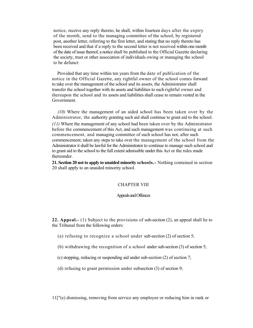notice, receive any reply thereto, he shall, within fourteen days after the expiry of the month, send to the managing committee of the school, by registered post, another letter, referring to the first letter, and stating that no reply thereto has been received and that if a reply to the second letter is not received within one month of the date of issue thereof, a notice shall be published in the Official Gazette declaring the society, trust or other association of individuals owing or managing the school to be defunct:

 Provided that any time within ten years from the date of publication of the notice in the Official Gazette, any rightful owner of the school comes forward to take over the management of the school and its assets, the Administrator shall transfer the school together with its assets and liabilities to such rightful owner and thereupon the school and its assets and liabilities shall cease to remain vested in the Government.

 *(10)* Where the management of an aided school has been taken over by the Administrator, the authority granting such aid shall continue to grant aid to the school. *(11)* Where the management of any school had been taken over by the Administrator before the commencement of this Act, and such management was continuing at such commencement, and managing committee of such school has not, after such commencement, taken any steps to take over the management of the school from the Administrator it shall be lawful for the Administrator to continue to manage such school and to grant aid to the school to the full extent admissible under this Act or the rules made thereunder.

 20 shall apply to an unaided minority school. **21. Section 20 not to apply to unaided minority schools.-** Nothing contained in section

#### CHAPTER VIII

#### Appeals and Offences

 **22. Appeal.-** (1) Subject to the provisions of sub-section (2), an appeal shall lie to the Tribunal from the following orders:

(a) refusing to recognize a school under sub-section (2) of section 5;

- (b) withdrawing the recognition of a school under sub-section (3) of section 5;
- (c) stopping, reducing or suspending aid under sub-section (2) of section 7;
- (d) refusing to grant permission under subsection (3) of section 9;

11["(e) dismissing, removing from service any employee or reducing him in rank or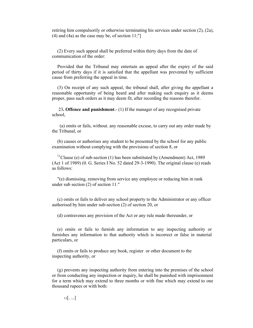retiring him compulsorily or otherwise terminating his services under section (2), (2a),  $(4)$  and  $(4a)$  as the case may be, of section 11;"

(2) Every such appeal shall be preferred within thirty days from the date of communication of the order:

Provided that the Tribunal may entertain an appeal after the expiry of the said period of thirty days if it is satisfied that the appellant was prevented by sufficient cause from preferring the appeal in time.

 (3) On receipt of any such appeal, the tribunal shall, after giving the appellant a reasonable opportunity of being heard and after making such enquiry as it deems proper, pass such orders as it may deem fit, after recording the reasons therefor.

23**. Offence and punishment**.- (1) If the manager of any recognised private school,

 (a) omits or fails, without. any reasonable excuse, to carry out any order made by the Tribunal, or

(b) causes or authorises any student to be presented by the school for any public examination without complying with the provisions of section 8, or

<sup>11</sup>Clause (e) of sub-section (1) has been substituted by (Amendment) Act, 1989 (Act 1 of 1989) (0. G. Series I No. 52 dated 29-3-1990). The original clause (e) reads as follows:

"(e) dismissing, removing from service any employee or reducing him in rank under sub section (2) of section 11."

(c) omits or fails to deliver any school property to the Administrator or any officer authorised by him under sub-section (2) of section 20, or

(d) contravenes any provision of the Act or any rule made thereunder, or

(e) omits or fails to furnish any information to any inspecting authority or furnishes any information to that authority which is incorrect or false in material particulars, or

(f) omits or fails to produce any book, register or other document to the inspecting authority, or

(g) prevents any inspecting authority from entering into the premises of the school or from conducting any inspection or inquiry, he shall be punished with imprisonment for a term which may extend to three months or with fine which may extend to one thousand rupees or with both:

 $12$ [. ...]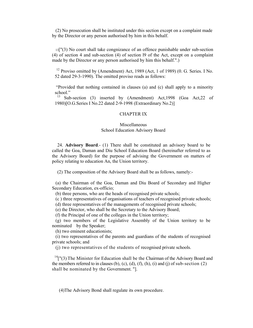(2) No prosecution shall be instituted under this section except on a complaint made by the Director or any person authorised by him in this behalf.

 (4) of section 4 and sub-section (4) of section l9 of the Act, except on a complaint 13["(3) No court shall take congnizance of an offence punishable under sub-section made by the Director or any person authorised by him this behalf.".)

<sup>12</sup> Proviso omitted by (Amendment) Act, 1989 (Act, 1 of 1989) (0. G. Series. I No. 52 dated 29-3-1990). The omitted proviso reads as follows:

"Provided that nothing contained in clauses (a) and (c) shall apply to a minority school."

 13 Sub-section (3) inserted by (Amendment) Act,1998 (Goa Act,22 of 1980)[O.G.Series I No.22 dated 2-9-1998 (Extraordinary No.2)]

#### CHAPTER IX

#### Miscellaneous School Education Advisory Board

24. **Advisory Board**.- (1) There shall be constituted an advisory board to be called the Goa, Daman and Diu School Education Board (hereinafter referred to as the Advisory Board) for the purpose of advising the Government on matters of policy relating to education An, the Union territory.

(2) The composition of the Advisory Board shall be as follows, namely:-

(a) the Chairman of the Goa, Daman and Diu Board of Secondary and Higher Secondary Education, ex-officio;

(b) three persons, who are the heads of recognised private schools;

(c ) three representatives of organisations of teachers of recognised private schools;

(d) three representatives of the managements of recognised private schools;

(e) the Director, who shall be the Secretary to the Advisory Board;

(f) the Principal of one of the colleges in the Union territory;

(g) two members of the Legislative Assembly of the Union territory to be nominated by the Speaker;

(h) two eminent educationists;

(i) two representatives of the parents and guardians of the students of recognised private schools; and

(j) two representatives of the students of recognised private schools.

 $14$ ["(3) The Minister for Education shall be the Chairman of the Advisory Board and the members referred to in clauses (b), (c), (d), (f), (h), (i) and (j) of sub-section  $(2)$ shall be nominated by the Government. "].

(4)The Advisory Bond shall regulate its own procedure.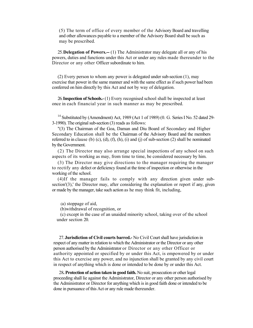(5) The term of office of every member of the Advisory Board and travelling and other allowances payable to a member of the Advisory Board shall be such as may be prescribed.

 25. **Delegation of Powers.--** (1) The Administrator may delegate all or any of his powers, duties and functions under this Act or under any rules made thereunder to the Director or any other Officer subordinate to him.

 (2) Every person to whom any power is delegated under sub-section (1), may exercise that power in the same manner and with the same effect as if such power had been conferred on him directly by this Act and not by way of delegation.

 26.**Inspection of Schools.-** (1) Every recognised school shall be inspected at least once in each financial year in such manner as may be prescribed.

 $14$  Substituted by (Amendment) Act, 1989 (Act 1 of 1989) (0. G. Series I No. 52 dated 29-3-1990). The original sub-section (3) reads as follows:

 "(3) The Chairman of the Goa, Daman and Diu Board of Secondary and Higher Secondary Education shall be the Chairman of the Advisory Board and the members referred to in clause (b)  $(c)$ ,  $(d)$ ,  $(f)$ ,  $(h)$ ,  $(i)$  and  $(j)$  of sub-section  $(2)$  shall be nominated by the Government.

 (2) The Director may also arrange special inspections of any school on such aspects of its working as may, from time to time, be considered necessary by him.

 (3) The Director may give directions to the manager requiring the manager to rectify any defect or deficiency found at the time of inspection or otherwise in the working of the school.

 (4)If the manager fails to comply with any direction given under subsection'(3),' the Director may, after considering the explanation or report if any, given or made by the manager, take such action as he may think fit, including,

(a) stoppage of aid,

(b)withdrawal of recognition, or

 (c) except in the case of an unaided minority school, taking over of the school under section 20.

 person authorised by the Administrator or Director or any other Officer or authority appointed or specified by or under this Act, is empowered by or under this Act to exercise any power, and no injunction shall be granted by any civil court in respect of anything which is done or intended to be done by or under this Act. 27. **Jurisdiction of Civil courts barred.-** No Civil Court shall have jurisdiction in respect of any matter in relation to which the Administrator or the Director or any other

 proceeding shall lie against the Administrator, Director or any other person authorised by the Administrator or Director for anything which is in good faith done or intended to be done in pursuance of this Act or any rule made thereunder. 28**. Protection of action taken in good faith.** No suit, prosecution or other legal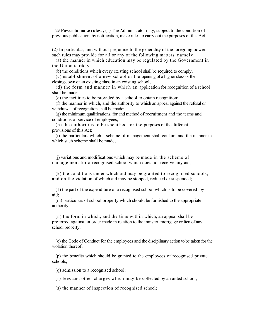29.**Power to make rules.-,** (1) The Administrator may, subject to the condition of previous publication, by notification, make rules to carry out the purposes of this Act.

 such rules may provide for all or any of the following matters, namely: (2) In particular, and without prejudice to the generality of the foregoing power,

 (a) the manner in which education may be regulated by the Government in the Union territory;

(b) the conditions which every existing school shall be required to comply;

 (c) establishment of a new school or the opening of a higher class or the closing down of an existing class in an existing school;

 (d) the form and manner in which an application for recognition of a school shall be made;

(e) the facilities to be provided by a school to obtain recognition;

 (f) the manner in which, and the authority to which an appeal against the refusal or withdrawal of recognition shall be made;

 (g) the minimum qualifications, for and method of recruitment and the terms and conditions of service of employees;

 (h) the authorities to be specified for the purposes of the different provisions of this Act;

 which such scheme shall be made; (i) the particulars which a scheme of management shall contain, and the manner in

 (j) variations and modifications which may be made in the scheme of management for a recognised school which does not receive any aid;

 (k) the conditions under which aid may be granted to recognised schools, and on the violation of which aid may be stopped, reduced or suspended;

 (1) the part of the expenditure of a recognised school which is to be covered by aid;

 (m) particulars of school property which should be furnished to the appropriate authority;

 (n) the form in which, and the time within which, an appeal shall be preferred against an order made in relation to the transfer, mortgage or lien of any school property;

 (o) the Code of Conduct for the employees and the disciplinary action to be taken for the violation thereof;

 (p) the benefits which should be granted to the employees of recognised private schools;

(q) admission to a recognised school;

(r) fees and other charges which may be collected by an aided school;

(s) the manner of inspection of recognised school;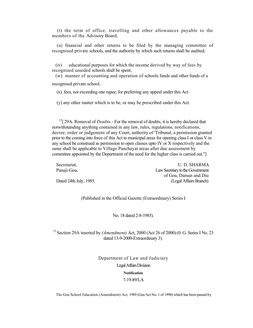members of the Advisory Board; (t) the term of office, travelling and other allowances payable to the

 (u) financial and other returns to be filed by the managing committee of recognised private schools, and the authority by which such returns shall be audited;

 (iv) educational purposes for which the income derived by way of fees by recognised unaided schools shall be spent;

 (w) manner of accounting and operation of schools funds and other funds of a recognised private school;

(x) fees, not exceeding one rupee, for preferring any appeal under this Act.

(y) any other matter which is to be, or may be prescribed under this Act.

 decree, order or judgement of any Court, authority of 'Tribunal, a permission granted prior to the coming into force of this Act in municipal areas for opening class I or class V in any school be construed as permission to open classes upto IV or X respectively and the same shall be applicable to Village Panchayat areas after due assessment by committee appointed by the Department of the need for the higher class is carried out."] <sup>15</sup>[ 29A. Removal of *Doubts*. For the removal of doubts, it is hereby declared that notwithstanding anything contained in any law, rules, regulations, notifications,

Panaji-Goa, Dated 24th July, 1985. (Legal Affairs Branch) Secretariat, Electric Contract Contract Contract Contract Contract Contract Contract Contract Contract Contract Contract Contract Contract Contract Contract Contract Contract Contract Contract Contract Contract Contract Co Law Secretary to the Government of Goa, Daman and Diu

(Published in the Official Gazette (Extraordinary) Series I

No. 18 dated 2-8-1985).

 15 Section 29A inserted by *(Amendment)* Act, 2000 (Act 26 of 2000) (0. G. Series I No. 23 dated 13-9-2000-Extraordinary 3).

> Department of Law and Judiciary Legal Affairs Division **Notification**  7-19-89/LA

The Goa School Education (Amendment) Act, 1989 (Goa Act No. 1 of 1990) which has been passed by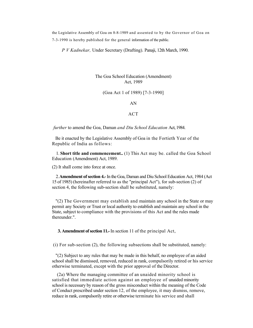the Legislative Assembly of Goa on 8-8-1989 and assented to by the Governor of Goa on 7-3-1990 is hereby published for the general information of the public.

*P V Kadnekar,* Under Secretary (Drafting). Panaji, 12th March, 1990.

#### Act, 1989 The Goa School Education (Amendment)

(Goa Act 1 of 1989) [7-3-1990]<br>AN<br>ACT

#### AN

*further* to amend the Goa, Daman *and Diu School Education* Act, 1984.

 Be it enacted by the Legislative Assembly of Goa in the Fortieth Year of the Republic of India as follows:

 1. **Short title and commencement..** (1) This Act may be. called the Goa School Education (Amendment) Act, 1989.

(2) It shall come into force at once.

 15 of 1985) (hereinafter referred to as the "principal Act"), for sub-section (2) of section 4, the following sub-section shall be substituted, namely: 2.**Amendment of section 4.-** In the Goa, Daman and Diu School Education Act, 1984 (Act

 "(2) The Government may establish and maintain any school in the State or may permit any Society or Trust or local authority to establish and maintain any school in the State, subject to compliance with the provisions of this Act and the rules made thereunder.".

**3. Amendment of section 11.-**In section 11 of the principal Act,

(i) For sub-section (2), the following subsections shall be substituted, namely:

 "(2) Subject to any rules that may be made in this behalf, no employee of an aided school shall be dismissed, removed, reduced in rank, compulsorily retired or his service otherwise terminated, except with the prior approval of the Director.

 (2a) Where the managing committee of an unaided minority school is satisfied that immediate action against an employee of unaided minority school is necessary by reason of the gross misconduct within the meaning of the Code of Conduct prescribed under section 12, of the employee, it may dismiss, remove, reduce in rank, compulsorily retire or otherwise terminate his service and shall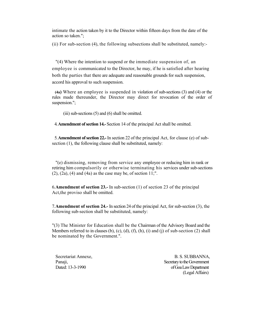intimate the action taken by it to the Director within fifteen days from the date of the action so taken.";

(ii) For sub-section (4), the following subsections shall be substituted, namely:-

 "(4) Where the intention to suspend or the immediate suspension of, an employee is communicated to the Director, he may, if he is satisfied after hearing both the parties that there are adequate and reasonable grounds for such suspension, accord his approval to such suspension.

 rules made thereunder, the Director may direct for revocation of the order of  **(4a)** Where an employee is suspended in violation of sub-sections (3) and (4) or the suspension.";

(iii) sub-sections (5) and (6) shall be omitted.

 4.**Amendment of section 14.-** Section 14 of the principal Act shall be omitted.

 5.**Amendment of section 22.-**In section 22 of the principal Act, for clause (e) of subsection (1), the following clause shall be substituted, namely:

 "(e) dismissing, removing from service any employee or reducing him in rank or retiring him compulsorily or otherwise terminating his services under sub-sections  $(2)$ ,  $(2a)$ ,  $(4)$  and  $(4a)$  as the case may be, of section 11;".

 6.**Amendment of section 23.-** In sub-section (1) of section 23 of the principal Act,the proviso shall be omitted.

 7.**Amendment of section 24.-** In section 24 of the principal Act, for sub-section (3), the following sub-section shall be substituted, namely:

 "(3) The Minister for Education shall be the Chairman of the Advisory Board and the Members referred to in clauses (b), (c), (d), (f), (h), (i) and (j) of sub-section (2) shall be nominated by the Government.".

Dated: 13-3-1990

Secretariat Annexe, and the secretariat Annexe, and the secretariat Annexe, and the secretariat Annexe, and the secretariat Annexe, and the secretariat Annexe, and the secretariat Annexe, and the secretariat Annexe, and th Panaji, Secretary to the Government of Goa Law Department (Legal Affairs)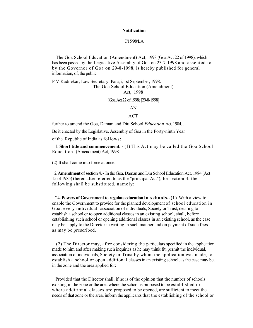#### **Notification**

#### 7/15/98/LA

 The Goa School Education (Amendment) Act, 1998 (Goa Act 22 of 1998), which has been passed by the Legislative Assembly of Goa on 23-7-1998 and assented to by the Governor of Goa on 29-8-1998, is hereby published for general information, of, the public.

P V Kadnekar, Law Secretary. Panaji, 1st September, 1998. The Goa School Education (Amendment) Act, 1998

(Goa Act 22of 1998) [29-8-1998]

AN

ACT

further to amend the Goa, Daman and Diu School *Education* Act, 1984. .

Be it enacted by the Legislative. Assembly of Goa in the Forty-ninth Year

of the Republic of India as follows:

 Education (Amendment) Act, 1998. 1. **Short title and commencement. -** (1) This Act may be called the Goa School

(2) It shall come into force at once.

 15 of 1985) (hereinafter referred to as the "principal Act"), for section 4, the 2.**Amendment of section 4. -** In the Goa, Daman and Diu School Education Act, 1984 (Act following shall be substituted, namely:

 enable the Government to provide for the planned development of school education in Goa, every individual, association of individuals, Society or Trust, desiring to establish a school or to open additional classes in an existing school, shall, before establishing such school or opening additional classes in an existing school, as the case may be, apply to the Director in writing in such manner and on payment of such fees **"4. Powers of Government to regulate education in schools.-(1)** With a view to as may be prescribed.

 made to him and after making such inquiries as he may think fit, permit the individual, association of individuals, Society or Trust by whom the application was made, to establish a school or open additional classes in an existing school, as the case may be, in the zone and the area applied for: (2) The Director may, after considering the particulars specified in the application

 existing in the zone or the area where the school is proposed to be established or where additional classes are proposed to be opened, are sufficient to meet the needs of that zone or the area, inform the applicants that the establishing of the school or Provided that the Director shall, if he is of the opinion that the number of schools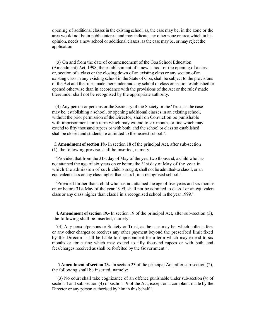opening of additional classes in the existing school, as, the case may be, in the zone or the area would not be in public interest and may indicate any other zone or area which in his opinion, needs a new school or additional classes, as the case may be, or may reject the application.

 (3) On and from the date of commencement of the Goa School Education (Amendment) Act, 1998, the establishment of a new school or the opening of a class or, section of a class or the closing down of an existing class or any section of an of the Act and the rules made thereunder and any school or class or section established or opened otherwise than in accordance with the provisions of the Act or the rules' made thereunder shall not be recognised by the appropriate authority. existing class in any existing school in the State of Goa, shall be subject to the provisions

 without the prior permission of the Director, shall on Conviction be punishable with imprisonment for a term which may extend to six months or fine which may (4) Any person or persons or the Secretary of the Society or the 'Trust, as the case may be, establishing a school, or opening additional classes in an existing school, extend to fifty thousand rupees or with both, and the school or class so established shall be closed and students re-admitted to the nearest school.".

3.**Amendment of section 18.-** In section 18 of the principal Act, after sub-section (1), the following proviso shall be inserted, namely:

 "Provided that from the 31st day of May of the year two thousand, a child who has not attained the age of six years on or before the 31st day of May of the year in which the admission of such child is sought, shall not be admitted-to class I, or an equivalent class or any class higher than class I, in a recognised school.".

 on or before 31st May of the year 1999, shall not be admitted to class I or an equivalent class or any class higher than class I in a recognised school in the year 1999.". "Provided further that a child who has not attained the age of five years and six months

4. **Amendment of section 19.-** In section 19 of the principal Act, after sub-section (3), the following shall be inserted, namely:

 or any other charges or receives any other payment beyond the prescribed limit fixed by the Director, shall be liable to imprisonment for a term which may extend to six "(4) Any person/persons or Society or Trust, as the case may be, which collects fees months or for a fine which may extend to fifty thousand rupees or with both, and fees/charges received as shall be forfeited by the Government.".

 5.**Amendment of section 23.-** In section 23 of the principal Act, after sub-section (2), the following shall be inserted, namely:

 "(3) No court shall take cognizance of an offence punishable under sub-section (4) of section 4 and sub-section (4) of section 19 of the Act, except on a complaint made by the Director or any person authorised by him in this behalf.".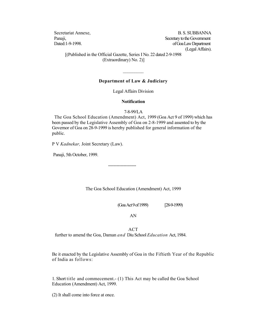Secretariat Annexe, B. S. SUBBANNA Panaji, Panaji, Secretary to the Government Dated: 1-9-1998. **Observe Access 2008 of Goa Law Department** (Legal Affairs).

 [(Published in the Official Gazette, Series I No. 22 dated 2-9-1998 (Extraordinary) No. 2)]

#### **Department of Law & Judiciary**

 $\frac{1}{2}$ 

Legal Affairs Division

#### **Notification**

7-8-99/LA

 The Goa School Education (Amendment) Act, 1999 (Goa Act 9 of 1999) which has been passed by the Legislative Assembly of Goa on 2-8-1999 and assented to by the Governor of Goa on 28-9-1999 is hereby published for general information of the public.

P V *Kadnekar,* Joint Secretary (Law).

Panaji, 5th October, 1999.

The Goa School Education (Amendment) Act, 1999

(Goa Act9 of 1999) [28-9-1999)

AN

further to amend the Goa, Daman and Diu School Education Act, 1984. ACT

--------------------

further to amend the Goa, Daman *and* Diu School *Education* Act, 1984.<br>Be it enacted by the Legislative Assembly of Goa in the Fiftieth Year of the Republic of India as follows:

 1. Short title and commecement.- (1) This Act may be called the Goa School Education (Amendment) Act, 1999.

(2) It shall come into force at once.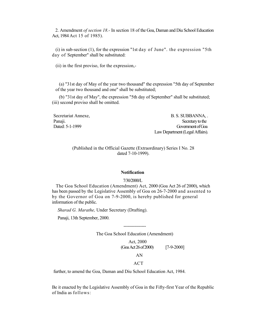2. Amendment *of section 18.-* In section 18 of the Goa, Daman and Diu School Education Act, 1984 Act 15 of 1985).

 day of September" shall be substituted: (i) in sub-section (1), for the expression "1st day of June". the expression "5th

(ii) in the first proviso, for the expression,-

 of the year two thousand and one" shall be substituted; (a) "31st day of May of the year two thousand" the expression "5th day of September

(b) "31st day of May", the expression "5th day of September" shall be substituted; (iii) second proviso shall be omitted.

Dated: 5-1-1999 Secretariat Annexe, B. S. SUBBANNA, . Panaji. Secretary to the secretary to the secretary to the secretary to the secretary to the secretary to the secretary to the secretary to the secretary to the secretary to the secretary to the secretary to the secretary Government of Goa Law Department (Legal Affairs).

> (Published in the Official Gazette (Extraordinary) Series I No. 28 dated 7-10-1999).

#### **Notification**

#### 7/30/2000/L

 has been passed by the Legislative Assembly of Goa on 26-7-2000 and assented to The Goa School Education (Amendment) Act, 2000 (Goa Act 26 of 2000), which by the Governor of Goa on 7-9-2000, is hereby published for general information of the public.

*Sharad G. Marathe,* Under Secretary (Drafting).

Panaji, 13th September, 2000.

---------------- The Goa School Education (Amendment)

> Act, 2000 (GoaAct26 of 2000) [7-9-2000] AN

#### ACT

further, to amend the Goa, Daman and Diu School Education Act, 1984.

 Be it enacted by the Legislative Assembly of Goa in the Fifty-first Year of the Republic of India as follows: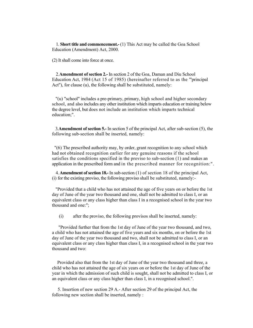1. **Short title and commencement.-** (1) This Act may be called the Goa School Education (Amendment) Act, 2000.

(2) It shall come into force at once.

 Education Act, 1984 (Act 15 of 1985) (hereinafter referred to as the "'principal Act"), for clause (u), the following shall be substituted, namely: 2.**Amendment of section 2.-** In section 2 of the Goa, Daman and Diu School

 "(u) "school" includes a pre-primary, primary, high school and higher secondary school, and also includes any other institution which imparts education or training below the degree level, but does not include an institution which imparts technical education;".

3.**Amendment of section 5.-** In section 5 of the principal Act, after sub-section (5), the following sub-section shall be inserted, namely:

 "(6) The prescribed authority may, by order, grant recognition to any school which had not obtained recognition earlier for any genuine reasons if the school satisfies the conditions specified in the proviso to sub-section (1) and makes an application in the prescribed form and in the prescribed manner for recognition:".

4. **Amendment of section 18.-** In sub-section (1) of section 18 of the principal Act, (i) for the existing proviso, the following proviso shall be substituted, namely:-

 "Provided that a child who has not attained the age of five years on or before the 1st day of June of the year two thousand and one, shall not be admitted to class I, or an equivalent class or any class higher than class I in a recognised school in the year two thousand and one:";

(i) after the proviso, the following provisos shall be inserted, namely:

 equivalent class or any class higher than class I, in a recognised school in the year two "Provided further that from the 1st day of June of the year two thousand, and two, a child who has not attained the age of five years and six months, on or before the 1st day of June of the year two thousand and two, shall not be admitted to class I, or an thousand and two:

Provided also that from the 1st day of June of the year two thousand and three, a child who has not attained the age of six years on or before the 1st day of June of the year in which the admission of such child is sought, shall not be admitted to class I, or an equivalent class or any class higher than class I, in a recognised school.".

5. Insertion of new section 29 A.- After section 29 of the principal Act, the following new section shall be inserted, namely :